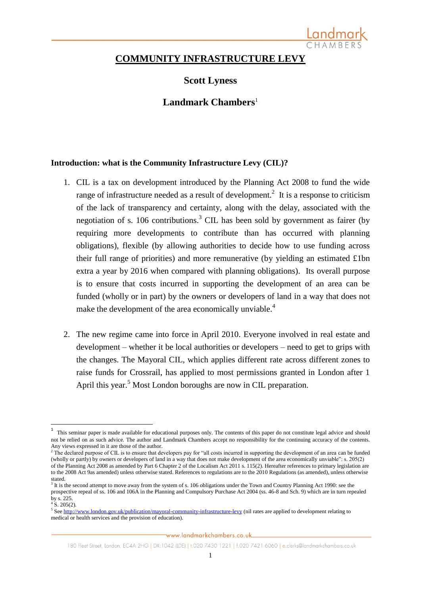

# **COMMUNITY INFRASTRUCTURE LEVY**

# **Scott Lyness**

# **Landmark Chambers**<sup>1</sup>

#### **Introduction: what is the Community Infrastructure Levy (CIL)?**

- 1. CIL is a tax on development introduced by the Planning Act 2008 to fund the wide range of infrastructure needed as a result of development.<sup>2</sup> It is a response to criticism of the lack of transparency and certainty, along with the delay, associated with the negotiation of s. 106 contributions.<sup>3</sup> CIL has been sold by government as fairer (by requiring more developments to contribute than has occurred with planning obligations), flexible (by allowing authorities to decide how to use funding across their full range of priorities) and more remunerative (by yielding an estimated £1bn extra a year by 2016 when compared with planning obligations). Its overall purpose is to ensure that costs incurred in supporting the development of an area can be funded (wholly or in part) by the owners or developers of land in a way that does not make the development of the area economically unviable.<sup>4</sup>
- 2. The new regime came into force in April 2010. Everyone involved in real estate and development – whether it be local authorities or developers – need to get to grips with the changes. The Mayoral CIL, which applies different rate across different zones to raise funds for Crossrail, has applied to most permissions granted in London after 1 April this year.<sup>5</sup> Most London boroughs are now in CIL preparation.

**.** 

<sup>1</sup> This seminar paper is made available for educational purposes only. The contents of this paper do not constitute legal advice and should not be relied on as such advice. The author and Landmark Chambers accept no responsibility for the continuing accuracy of the contents. Any views expressed in it are those of the author.

<sup>&</sup>lt;sup>2</sup> The declared purpose of CIL is to ensure that developers pay for "all costs incurred in supporting the development of an area can be funded  $\frac{1}{2}$ (wholly or partly) by owners or developers of land in a way that does not make development of the area economically unviable": s. 205(2) of the Planning Act 2008 as amended by Part 6 Chapter 2 of the Localism Act 2011 s. 115(2). Hereafter references to primary legislation are to the 2008 Act 9as amended) unless otherwise stated. References to regulations are to the 2010 Regulations (as amended), unless otherwise stated.

<sup>&</sup>lt;sup>3</sup> It is the second attempt to move away from the system of s. 106 obligations under the Town and Country Planning Act 1990: see the prospective repeal of ss. 106 and 106A in the Planning and Compulsory Purchase Act 2004 (ss. 46-8 and Sch. 9) which are in turn repealed by s. 225.

 $4\overline{\phantom{1}}$  S. 205(2).

<sup>&</sup>lt;sup>5</sup> Se[e http://www.london.gov.uk/publication/mayoral-community-infrastructure-levy](http://www.london.gov.uk/publication/mayoral-community-infrastructure-levy) (nil rates are applied to development relating to medical or health services and the provision of education).

<sup>180</sup> Fleet Street, London, EC4A 2HG | DX:1042 (LDE) | t.020 7430 1221 | f.020 7421 6060 | e.clerks@landmarkchambers.co.uk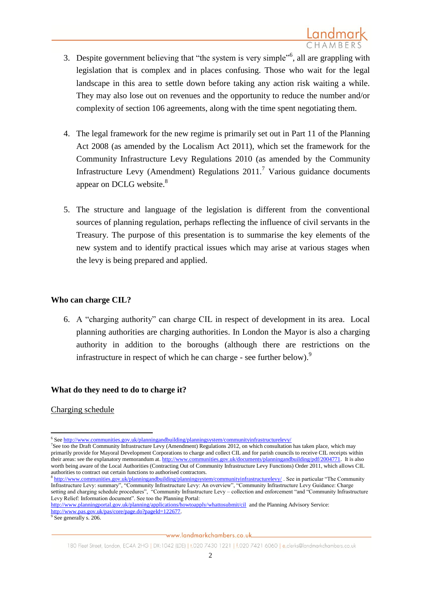- 3. Despite government believing that "the system is very simple"<sup>6</sup>, all are grappling with legislation that is complex and in places confusing. Those who wait for the legal landscape in this area to settle down before taking any action risk waiting a while. They may also lose out on revenues and the opportunity to reduce the number and/or complexity of section 106 agreements, along with the time spent negotiating them.
- 4. The legal framework for the new regime is primarily set out in Part 11 of the Planning Act 2008 (as amended by the Localism Act 2011), which set the framework for the Community Infrastructure Levy Regulations 2010 (as amended by the Community Infrastructure Levy (Amendment) Regulations  $2011$ .<sup>7</sup> Various guidance documents appear on DCLG website.<sup>8</sup>
- 5. The structure and language of the legislation is different from the conventional sources of planning regulation, perhaps reflecting the influence of civil servants in the Treasury. The purpose of this presentation is to summarise the key elements of the new system and to identify practical issues which may arise at various stages when the levy is being prepared and applied.

## **Who can charge CIL?**

6. A "charging authority" can charge CIL in respect of development in its area. Local planning authorities are charging authorities. In London the Mayor is also a charging authority in addition to the boroughs (although there are restrictions on the infrastructure in respect of which he can charge - see further below).<sup>9</sup>

# **What do they need to do to charge it?**

#### Charging schedule

**<sup>.</sup>** <sup>6</sup> Se[e http://www.communities.gov.uk/planningandbuilding/planningsystem/communityinfrastructurelevy/](http://www.communities.gov.uk/planningandbuilding/planningsystem/communityinfrastructurelevy/)

<sup>7</sup> See too the Draft Community Infrastructure Levy (Amendment) Regulations 2012, on which consultation has taken place, which may primarily provide for Mayoral Development Corporations to charge and collect CIL and for parish councils to receive CIL receipts within their areas: see the explanatory memorandum at[. http://www.communities.gov.uk/documents/planningandbuilding/pdf/2004771.](http://www.communities.gov.uk/documents/planningandbuilding/pdf/2004771) It is also worth being aware of the Local Authorities (Contracting Out of Community Infrastructure Levy Functions) Order 2011, which allows CIL authorities to contract out certain functions to authorised contractors.<br><sup>8</sup> http://www.communities.cov.uk/planningandhuilding/planningavet

<http://www.communities.gov.uk/planningandbuilding/planningsystem/communityinfrastructurelevy/> . See in particular "The Community Infrastructure Levy: summary", "Community Infrastructure Levy: An overview", "Community Infrastructure Levy Guidance: Charge setting and charging schedule procedures", "Community Infrastructure Levy – collection and enforcement "and "Community Infrastructure Levy Relief: Information document". See too the Planning Portal:

<http://www.planningportal.gov.uk/planning/applications/howtoapply/whattosubmit/cil>and the Planning Advisory Service: [http://www.pas.gov.uk/pas/core/page.do?pageId=122677.](http://www.pas.gov.uk/pas/core/page.do?pageId=122677)<br><sup>9</sup> See generally s. 206.

<sup>180</sup> Fleet Street, London, EC4A 2HG | DX:1042 (LDE) | t.020 7430 1221 | f.020 7421 6060 | e.clerks@landmarkchambers.co.uk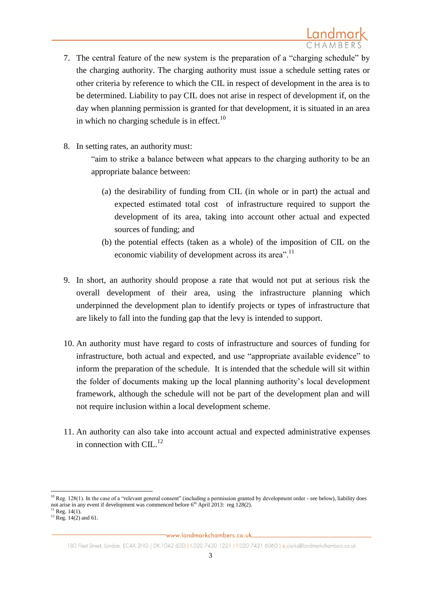- 7. The central feature of the new system is the preparation of a "charging schedule" by the charging authority. The charging authority must issue a schedule setting rates or other criteria by reference to which the CIL in respect of development in the area is to be determined. Liability to pay CIL does not arise in respect of development if, on the day when planning permission is granted for that development, it is situated in an area in which no charging schedule is in effect.<sup>10</sup>
- 8. In setting rates, an authority must:

"aim to strike a balance between what appears to the charging authority to be an appropriate balance between:

- (a) the desirability of funding from CIL (in whole or in part) the actual and expected estimated total cost of infrastructure required to support the development of its area, taking into account other actual and expected sources of funding; and
- (b) the potential effects (taken as a whole) of the imposition of CIL on the economic viability of development across its area".<sup>11</sup>
- 9. In short, an authority should propose a rate that would not put at serious risk the overall development of their area, using the infrastructure planning which underpinned the development plan to identify projects or types of infrastructure that are likely to fall into the funding gap that the levy is intended to support.
- 10. An authority must have regard to costs of infrastructure and sources of funding for infrastructure, both actual and expected, and use "appropriate available evidence" to inform the preparation of the schedule. It is intended that the schedule will sit within the folder of documents making up the local planning authority's local development framework, although the schedule will not be part of the development plan and will not require inclusion within a local development scheme.
- 11. An authority can also take into account actual and expected administrative expenses in connection with  $\text{CIL}^{12}$

 $\overline{a}$ 

 $10$  Reg. 128(1). In the case of a "relevant general consent" (including a permission granted by development order - see below), liability does not arise in any event if development was commenced before  $6<sup>th</sup>$  April 2013: reg 128(2).

 $11$  Reg. 14(1).

 $^{12}$  Reg. 14(2) and 61.

<sup>180</sup> Fleet Street, London, EC4A 2HG | DX:1042 (LDE) | t.020 7430 1221 | f.020 7421 6060 | e.clerks@landmarkchambers.co.uk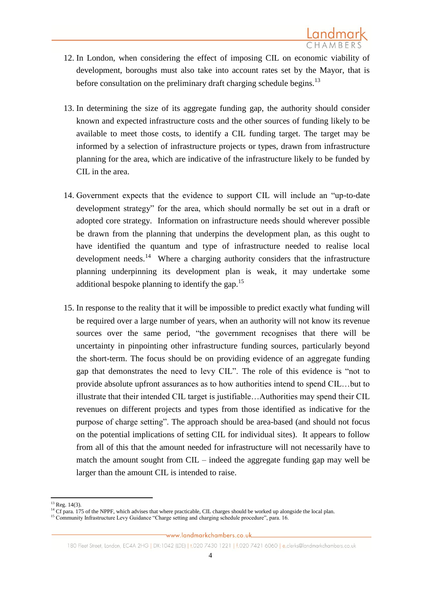- 12. In London, when considering the effect of imposing CIL on economic viability of development, boroughs must also take into account rates set by the Mayor, that is before consultation on the preliminary draft charging schedule begins.<sup>13</sup>
- 13. In determining the size of its aggregate funding gap, the authority should consider known and expected infrastructure costs and the other sources of funding likely to be available to meet those costs, to identify a CIL funding target. The target may be informed by a selection of infrastructure projects or types, drawn from infrastructure planning for the area, which are indicative of the infrastructure likely to be funded by CIL in the area.
- 14. Government expects that the evidence to support CIL will include an "up-to-date development strategy" for the area, which should normally be set out in a draft or adopted core strategy. Information on infrastructure needs should wherever possible be drawn from the planning that underpins the development plan, as this ought to have identified the quantum and type of infrastructure needed to realise local development needs. $14$  Where a charging authority considers that the infrastructure planning underpinning its development plan is weak, it may undertake some additional bespoke planning to identify the gap.<sup>15</sup>
- 15. In response to the reality that it will be impossible to predict exactly what funding will be required over a large number of years, when an authority will not know its revenue sources over the same period, "the government recognises that there will be uncertainty in pinpointing other infrastructure funding sources, particularly beyond the short-term. The focus should be on providing evidence of an aggregate funding gap that demonstrates the need to levy CIL". The role of this evidence is "not to provide absolute upfront assurances as to how authorities intend to spend CIL…but to illustrate that their intended CIL target is justifiable…Authorities may spend their CIL revenues on different projects and types from those identified as indicative for the purpose of charge setting". The approach should be area-based (and should not focus on the potential implications of setting CIL for individual sites). It appears to follow from all of this that the amount needed for infrastructure will not necessarily have to match the amount sought from CIL – indeed the aggregate funding gap may well be larger than the amount CIL is intended to raise.

**<sup>.</sup>**  $13$  Reg. 14(3).

 $<sup>14</sup>$  Cf para. 175 of the NPPF, which advises that where practicable. CIL charges should be worked up alongside the local plan.</sup>

<sup>&</sup>lt;sup>15</sup> Community Infrastructure Levy Guidance "Charge setting and charging schedule procedure", para. 16.<br><sup>15</sup>

www.landmarkchambers.co.uk

<sup>180</sup> Fleet Street, London, EC4A 2HG | DX:1042 (LDE) | t.020 7430 1221 | f.020 7421 6060 | e.clerks@landmarkchambers.co.uk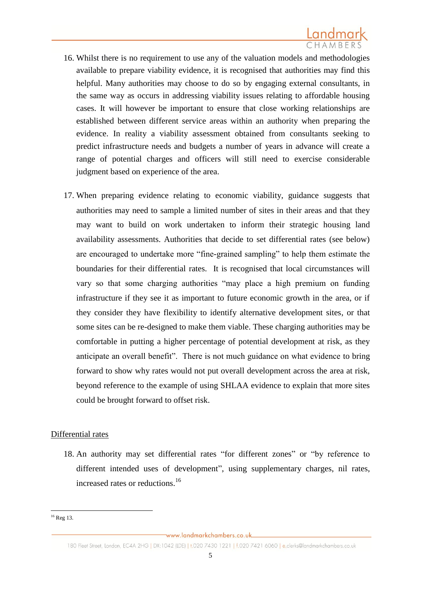- 16. Whilst there is no requirement to use any of the valuation models and methodologies available to prepare viability evidence, it is recognised that authorities may find this helpful. Many authorities may choose to do so by engaging external consultants, in the same way as occurs in addressing viability issues relating to affordable housing cases. It will however be important to ensure that close working relationships are established between different service areas within an authority when preparing the evidence. In reality a viability assessment obtained from consultants seeking to predict infrastructure needs and budgets a number of years in advance will create a range of potential charges and officers will still need to exercise considerable judgment based on experience of the area.
- 17. When preparing evidence relating to economic viability, guidance suggests that authorities may need to sample a limited number of sites in their areas and that they may want to build on work undertaken to inform their strategic housing land availability assessments. Authorities that decide to set differential rates (see below) are encouraged to undertake more "fine-grained sampling" to help them estimate the boundaries for their differential rates. It is recognised that local circumstances will vary so that some charging authorities "may place a high premium on funding infrastructure if they see it as important to future economic growth in the area, or if they consider they have flexibility to identify alternative development sites, or that some sites can be re-designed to make them viable. These charging authorities may be comfortable in putting a higher percentage of potential development at risk, as they anticipate an overall benefit". There is not much guidance on what evidence to bring forward to show why rates would not put overall development across the area at risk, beyond reference to the example of using SHLAA evidence to explain that more sites could be brought forward to offset risk.

# Differential rates

18. An authority may set differential rates "for different zones" or "by reference to different intended uses of development", using supplementary charges, nil rates, increased rates or reductions.<sup>16</sup>

<sup>1</sup>  $16$  Reg 13.

<sup>180</sup> Fleet Street, London, EC4A 2HG | DX:1042 (LDE) | t.020 7430 1221 | f.020 7421 6060 | e.clerks@landmarkchambers.co.uk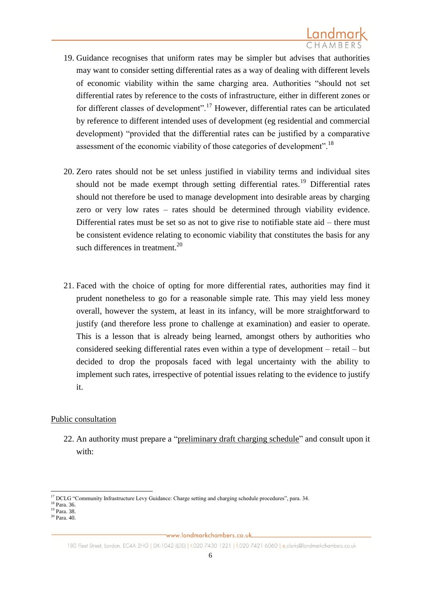- 19. Guidance recognises that uniform rates may be simpler but advises that authorities may want to consider setting differential rates as a way of dealing with different levels of economic viability within the same charging area. Authorities "should not set differential rates by reference to the costs of infrastructure, either in different zones or for different classes of development".<sup>17</sup> However, differential rates can be articulated by reference to different intended uses of development (eg residential and commercial development) "provided that the differential rates can be justified by a comparative assessment of the economic viability of those categories of development".<sup>18</sup>
- 20. Zero rates should not be set unless justified in viability terms and individual sites should not be made exempt through setting differential rates.<sup>19</sup> Differential rates should not therefore be used to manage development into desirable areas by charging zero or very low rates – rates should be determined through viability evidence. Differential rates must be set so as not to give rise to notifiable state aid – there must be consistent evidence relating to economic viability that constitutes the basis for any such differences in treatment. $^{20}$
- 21. Faced with the choice of opting for more differential rates, authorities may find it prudent nonetheless to go for a reasonable simple rate. This may yield less money overall, however the system, at least in its infancy, will be more straightforward to justify (and therefore less prone to challenge at examination) and easier to operate. This is a lesson that is already being learned, amongst others by authorities who considered seeking differential rates even within a type of development – retail – but decided to drop the proposals faced with legal uncertainty with the ability to implement such rates, irrespective of potential issues relating to the evidence to justify it.

# Public consultation

22. An authority must prepare a "preliminary draft charging schedule" and consult upon it with:

 $\overline{a}$ <sup>17</sup> DCLG "Community Infrastructure Levy Guidance: Charge setting and charging schedule procedures", para. 34.

<sup>18</sup> Para. 36.

<sup>&</sup>lt;sup>19</sup> Para. 38.

 $20$  Para.  $40$ .

<sup>180</sup> Fleet Street, London, EC4A 2HG | DX:1042 (LDE) | t.020 7430 1221 | f.020 7421 6060 | e.clerks@landmarkchambers.co.uk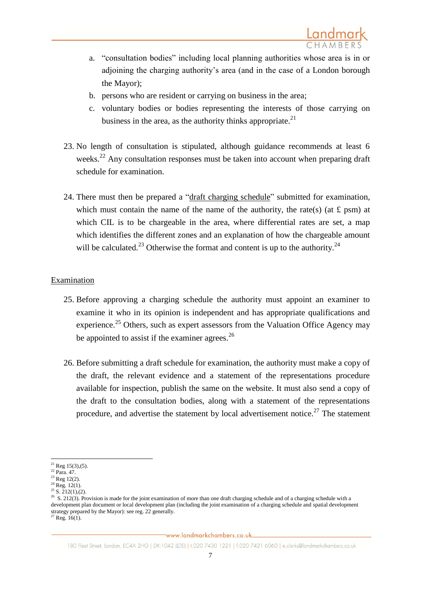- a. "consultation bodies" including local planning authorities whose area is in or adjoining the charging authority's area (and in the case of a London borough the Mayor);
- b. persons who are resident or carrying on business in the area;
- c. voluntary bodies or bodies representing the interests of those carrying on business in the area, as the authority thinks appropriate. $^{21}$
- 23. No length of consultation is stipulated, although guidance recommends at least 6 weeks.<sup>22</sup> Any consultation responses must be taken into account when preparing draft schedule for examination.
- 24. There must then be prepared a "draft charging schedule" submitted for examination, which must contain the name of the name of the authority, the rate(s) (at  $\pounds$  psm) at which CIL is to be chargeable in the area, where differential rates are set, a map which identifies the different zones and an explanation of how the chargeable amount will be calculated.<sup>23</sup> Otherwise the format and content is up to the authority.<sup>24</sup>

# Examination

- 25. Before approving a charging schedule the authority must appoint an examiner to examine it who in its opinion is independent and has appropriate qualifications and experience.<sup>25</sup> Others, such as expert assessors from the Valuation Office Agency may be appointed to assist if the examiner agrees.<sup>26</sup>
- 26. Before submitting a draft schedule for examination, the authority must make a copy of the draft, the relevant evidence and a statement of the representations procedure available for inspection, publish the same on the website. It must also send a copy of the draft to the consultation bodies, along with a statement of the representations procedure, and advertise the statement by local advertisement notice.<sup>27</sup> The statement

 $\overline{a}$ 

<sup>&</sup>lt;sup>21</sup> Reg 15(3),(5).

<sup>22</sup> Para. 47.

 $23$  Reg 12(2).

 $^{24}$  Reg. 12(1).

 $25$  S.  $212(1)$ , (2).

 $^{26}$  S. 212(3). Provision is made for the joint examination of more than one draft charging schedule and of a charging schedule with a development plan document or local development plan (including the joint examination of a charging schedule and spatial development strategy prepared by the Mayor): see reg. 22 generally.  $^{27}$  Reg. 16(1).

www.landmarkchambers.co.uk

<sup>180</sup> Fleet Street, London, EC4A 2HG | DX:1042 (LDE) | t.020 7430 1221 | f.020 7421 6060 | e.clerks@landmarkchambers.co.uk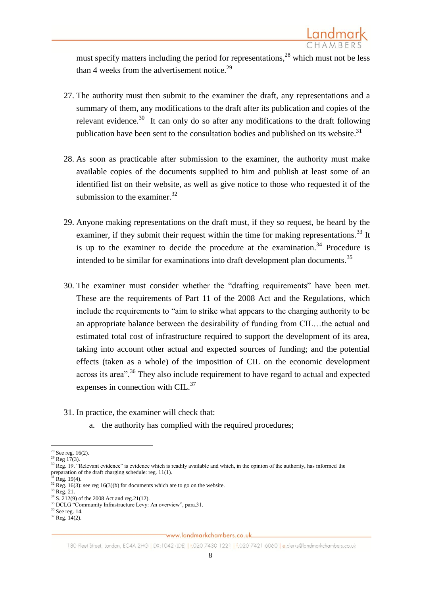must specify matters including the period for representations, $^{28}$  which must not be less than 4 weeks from the advertisement notice.<sup>29</sup>

- 27. The authority must then submit to the examiner the draft, any representations and a summary of them, any modifications to the draft after its publication and copies of the relevant evidence.<sup>30</sup> It can only do so after any modifications to the draft following publication have been sent to the consultation bodies and published on its website. $31$
- 28. As soon as practicable after submission to the examiner, the authority must make available copies of the documents supplied to him and publish at least some of an identified list on their website, as well as give notice to those who requested it of the submission to the examiner.  $32$
- 29. Anyone making representations on the draft must, if they so request, be heard by the examiner, if they submit their request within the time for making representations.<sup>33</sup> It is up to the examiner to decide the procedure at the examination.<sup>34</sup> Procedure is intended to be similar for examinations into draft development plan documents.<sup>35</sup>
- 30. The examiner must consider whether the "drafting requirements" have been met. These are the requirements of Part 11 of the 2008 Act and the Regulations, which include the requirements to "aim to strike what appears to the charging authority to be an appropriate balance between the desirability of funding from CIL…the actual and estimated total cost of infrastructure required to support the development of its area, taking into account other actual and expected sources of funding; and the potential effects (taken as a whole) of the imposition of CIL on the economic development across its area".<sup>36</sup> They also include requirement to have regard to actual and expected expenses in connection with CIL.<sup>37</sup>
- 31. In practice, the examiner will check that:
	- a. the authority has complied with the required procedures;

Reg. 19(4).

**<sup>.</sup>**  $28$  See reg. 16(2).

 $^{29}$  Reg 17(3).

 $30$  Reg. 19. "Relevant evidence" is evidence which is readily available and which, in the opinion of the authority, has informed the preparation of the draft charging schedule: reg. 11(1).

<sup>&</sup>lt;sup>32</sup> Reg. 16(3): see reg 16(3)(b) for documents which are to go on the website.

 $33$  Reg. 21.

 $34$  S. 212(9) of the 2008 Act and reg. 21(12).

<sup>&</sup>lt;sup>35</sup> DCLG "Community Infrastructure Levy: An overview", para.31.

 $36$  See reg. 14.

 $37$  Reg.  $14(2)$ .

<sup>180</sup> Fleet Street, London, EC4A 2HG | DX:1042 (LDE) | t.020 7430 1221 | f.020 7421 6060 | e.clerks@landmarkchambers.co.uk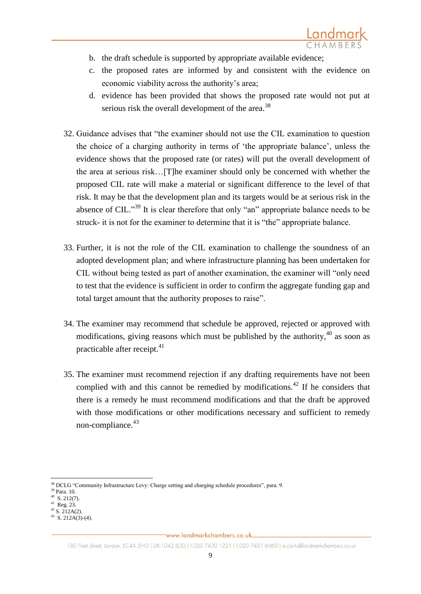- b. the draft schedule is supported by appropriate available evidence;
- c. the proposed rates are informed by and consistent with the evidence on economic viability across the authority's area;
- d. evidence has been provided that shows the proposed rate would not put at serious risk the overall development of the area.<sup>38</sup>
- 32. Guidance advises that "the examiner should not use the CIL examination to question the choice of a charging authority in terms of 'the appropriate balance', unless the evidence shows that the proposed rate (or rates) will put the overall development of the area at serious risk…[T]he examiner should only be concerned with whether the proposed CIL rate will make a material or significant difference to the level of that risk. It may be that the development plan and its targets would be at serious risk in the absence of CIL."<sup>39</sup> It is clear therefore that only "an" appropriate balance needs to be struck- it is not for the examiner to determine that it is "the" appropriate balance.
- 33. Further, it is not the role of the CIL examination to challenge the soundness of an adopted development plan; and where infrastructure planning has been undertaken for CIL without being tested as part of another examination, the examiner will "only need to test that the evidence is sufficient in order to confirm the aggregate funding gap and total target amount that the authority proposes to raise".
- 34. The examiner may recommend that schedule be approved, rejected or approved with modifications, giving reasons which must be published by the authority,  $40$  as soon as practicable after receipt.<sup>41</sup>
- 35. The examiner must recommend rejection if any drafting requirements have not been complied with and this cannot be remedied by modifications.<sup>42</sup> If he considers that there is a remedy he must recommend modifications and that the draft be approved with those modifications or other modifications necessary and sufficient to remedy non-compliance. $43$

<sup>1</sup> <sup>38</sup> DCLG "Community Infrastructure Levy: Charge setting and charging schedule procedures", para. 9.

<sup>39</sup> Para. 10.

 $40$  S. 212(7).

<sup>41</sup> Reg. 23.  $42$  S. 212A(2).

 $43$  S. 212A(3)-(4).

<sup>180</sup> Fleet Street, London, EC4A 2HG | DX:1042 (LDE) | t.020 7430 1221 | f.020 7421 6060 | e.clerks@landmarkchambers.co.uk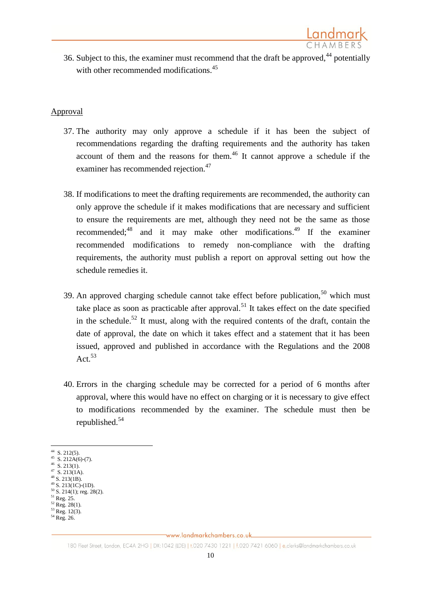36. Subject to this, the examiner must recommend that the draft be approved,  $44$  potentially with other recommended modifications.<sup>45</sup>

Landmark

#### Approval

- 37. The authority may only approve a schedule if it has been the subject of recommendations regarding the drafting requirements and the authority has taken account of them and the reasons for them.<sup>46</sup> It cannot approve a schedule if the examiner has recommended rejection.<sup>47</sup>
- 38. If modifications to meet the drafting requirements are recommended, the authority can only approve the schedule if it makes modifications that are necessary and sufficient to ensure the requirements are met, although they need not be the same as those recommended; $48$  and it may make other modifications. If the examiner recommended modifications to remedy non-compliance with the drafting requirements, the authority must publish a report on approval setting out how the schedule remedies it.
- 39. An approved charging schedule cannot take effect before publication,  $50$  which must take place as soon as practicable after approval.<sup>51</sup> It takes effect on the date specified in the schedule.<sup>52</sup> It must, along with the required contents of the draft, contain the date of approval, the date on which it takes effect and a statement that it has been issued, approved and published in accordance with the Regulations and the 2008 Act.<sup>53</sup>
- 40. Errors in the charging schedule may be corrected for a period of 6 months after approval, where this would have no effect on charging or it is necessary to give effect to modifications recommended by the examiner. The schedule must then be republished.<sup>54</sup>

- $48$  S. 213(1B).
- $49\overline{\phantom{1}S}$ . 213(1C)-(1D).
- $50$  S. 214(1); reg. 28(2). <sup>51</sup> Reg. 25.
- $52$  Reg. 28(1).
- $53$  Reg. 12(3).

 $\frac{44}{1}$  S. 212(5).

 $45$  S. 212A(6)-(7).  $46$  S. 213(1).

 $47$  S. 213(1A).

<sup>54</sup> Reg. 26.

<sup>180</sup> Fleet Street, London, EC4A 2HG | DX:1042 (LDE) | t.020 7430 1221 | f.020 7421 6060 | e.clerks@landmarkchambers.co.uk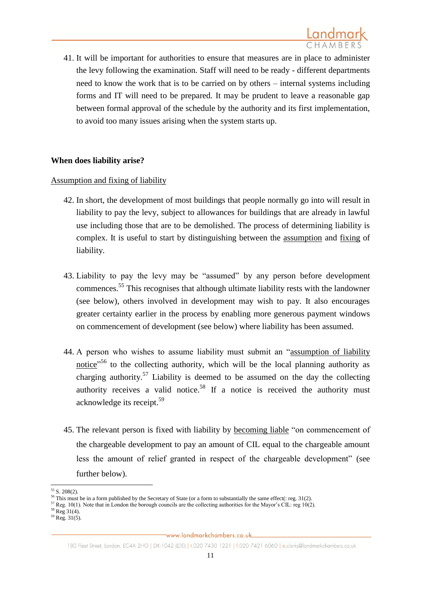

41. It will be important for authorities to ensure that measures are in place to administer the levy following the examination. Staff will need to be ready - different departments need to know the work that is to be carried on by others – internal systems including forms and IT will need to be prepared. It may be prudent to leave a reasonable gap between formal approval of the schedule by the authority and its first implementation, to avoid too many issues arising when the system starts up.

#### **When does liability arise?**

#### Assumption and fixing of liability

- 42. In short, the development of most buildings that people normally go into will result in liability to pay the levy, subject to allowances for buildings that are already in lawful use including those that are to be demolished. The process of determining liability is complex. It is useful to start by distinguishing between the assumption and fixing of liability.
- 43. Liability to pay the levy may be "assumed" by any person before development commences. <sup>55</sup> This recognises that although ultimate liability rests with the landowner (see below), others involved in development may wish to pay. It also encourages greater certainty earlier in the process by enabling more generous payment windows on commencement of development (see below) where liability has been assumed.
- 44. A person who wishes to assume liability must submit an "assumption of liability notice"<sup>56</sup> to the collecting authority, which will be the local planning authority as charging authority.<sup>57</sup> Liability is deemed to be assumed on the day the collecting authority receives a valid notice.<sup>58</sup> If a notice is received the authority must acknowledge its receipt. 59
- 45. The relevant person is fixed with liability by becoming liable "on commencement of the chargeable development to pay an amount of CIL equal to the chargeable amount less the amount of relief granted in respect of the chargeable development" (see further below).

**<sup>.</sup>**  $55 S. 208(2)$ .

<sup>&</sup>lt;sup>56</sup> This must be in a form published by the Secretary of State (or a form to substantially the same effect(: reg. 31(2).

 $57$  Reg. 10(1). Note that in London the borough councils are the collecting authorities for the Mayor's CIL: reg 10(2).

 $58$  Reg  $31(4)$ .

 $59$  Reg.  $31(5)$ .

<sup>180</sup> Fleet Street, London, EC4A 2HG | DX:1042 (LDE) | t.020 7430 1221 | f.020 7421 6060 | e.clerks@landmarkchambers.co.uk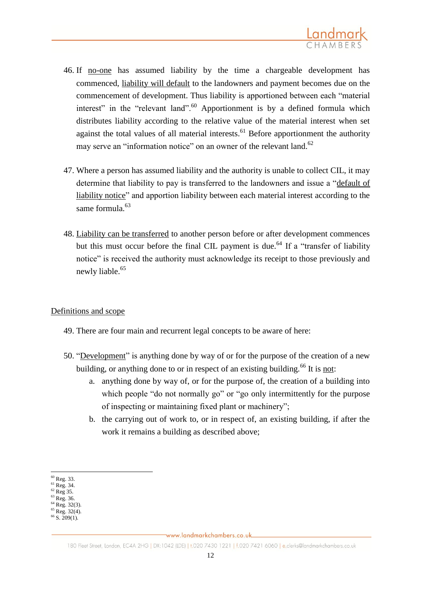

- 46. If no-one has assumed liability by the time a chargeable development has commenced, liability will default to the landowners and payment becomes due on the commencement of development. Thus liability is apportioned between each "material interest" in the "relevant land".<sup>60</sup> Apportionment is by a defined formula which distributes liability according to the relative value of the material interest when set against the total values of all material interests. $61$  Before apportionment the authority may serve an "information notice" on an owner of the relevant land.<sup>62</sup>
- 47. Where a person has assumed liability and the authority is unable to collect CIL, it may determine that liability to pay is transferred to the landowners and issue a "default of liability notice" and apportion liability between each material interest according to the same formula  $^{63}$
- 48. Liability can be transferred to another person before or after development commences but this must occur before the final CIL payment is due.<sup>64</sup> If a "transfer of liability notice" is received the authority must acknowledge its receipt to those previously and newly liable. 65

#### Definitions and scope

- 49. There are four main and recurrent legal concepts to be aware of here:
- 50. "Development" is anything done by way of or for the purpose of the creation of a new building, or anything done to or in respect of an existing building.<sup>66</sup> It is not:
	- a. anything done by way of, or for the purpose of, the creation of a building into which people "do not normally go" or "go only intermittently for the purpose of inspecting or maintaining fixed plant or machinery";
	- b. the carrying out of work to, or in respect of, an existing building, if after the work it remains a building as described above;

**.** 

 $65$  Reg. 32(4).

<sup>60</sup> Reg. 33.

 $^{61}$  Reg. 34.  $62$  Reg 35.

<sup>63</sup> Reg. 36.

<sup>64</sup> Reg. 32(3).

 $6\,$  S. 209(1).

<sup>180</sup> Fleet Street, London, EC4A 2HG | DX:1042 (LDE) | t.020 7430 1221 | f.020 7421 6060 | e.clerks@landmarkchambers.co.uk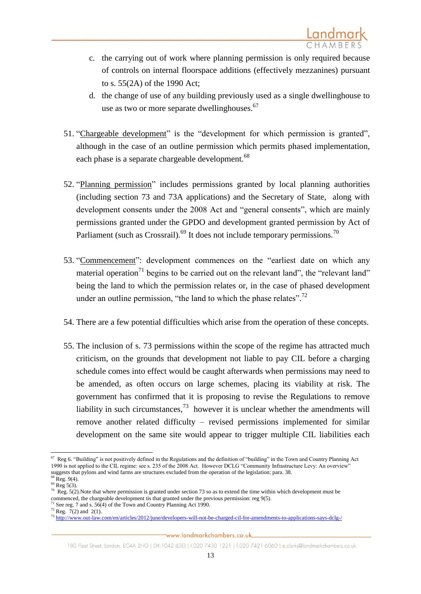- c. the carrying out of work where planning permission is only required because of controls on internal floorspace additions (effectively mezzanines) pursuant to s. 55(2A) of the 1990 Act;
- d. the change of use of any building previously used as a single dwellinghouse to use as two or more separate dwellinghouses.<sup>67</sup>
- 51. "Chargeable development" is the "development for which permission is granted", although in the case of an outline permission which permits phased implementation, each phase is a separate chargeable development.<sup>68</sup>
- 52. "Planning permission" includes permissions granted by local planning authorities (including section 73 and 73A applications) and the Secretary of State, along with development consents under the 2008 Act and "general consents", which are mainly permissions granted under the GPDO and development granted permission by Act of Parliament (such as Crossrail).<sup>69</sup> It does not include temporary permissions.<sup>70</sup>
- 53. "Commencement": development commences on the "earliest date on which any material operation<sup>71</sup> begins to be carried out on the relevant land", the "relevant land" being the land to which the permission relates or, in the case of phased development under an outline permission, "the land to which the phase relates".<sup>72</sup>
- 54. There are a few potential difficulties which arise from the operation of these concepts.
- 55. The inclusion of s. 73 permissions within the scope of the regime has attracted much criticism, on the grounds that development not liable to pay CIL before a charging schedule comes into effect would be caught afterwards when permissions may need to be amended, as often occurs on large schemes, placing its viability at risk. The government has confirmed that it is proposing to revise the Regulations to remove liability in such circumstances,  $^{73}$  however it is unclear whether the amendments will remove another related difficulty – revised permissions implemented for similar development on the same site would appear to trigger multiple CIL liabilities each

 67 Reg 6. "Building" is not positively defined in the Regulations and the definition of "building" in the Town and Country Planning Act 1990 is not applied to the CIL regime: see s. 235 of the 2008 Act. However DCLG "Community Infrastructure Levy: An overview" suggests that pylons and wind farms are structures excluded from the operation of the legislation: para. 38.

 $8$  Reg. 9(4).

 $69$  Reg 5(3).

 $^{70}$  Reg. 5(2). Note that where permission is granted under section 73 so as to extend the time within which development must be commenced, the chargeable development tis that granted under the previous permission: reg 9(5).

<sup>&</sup>lt;sup>1</sup> See reg. 7 and s.  $56(4)$  of the Town and Country Planning Act 1990.

 $72$  Reg.  $7(2)$  and 2(1).

<sup>73</sup> <http://www.out-law.com/en/articles/2012/june/developers-will-not-be-charged-cil-for-amendments-to-applications-says-dclg-/>

<sup>180</sup> Fleet Street, London, EC4A 2HG | DX:1042 (LDE) | t.020 7430 1221 | f.020 7421 6060 | e.clerks@landmarkchambers.co.uk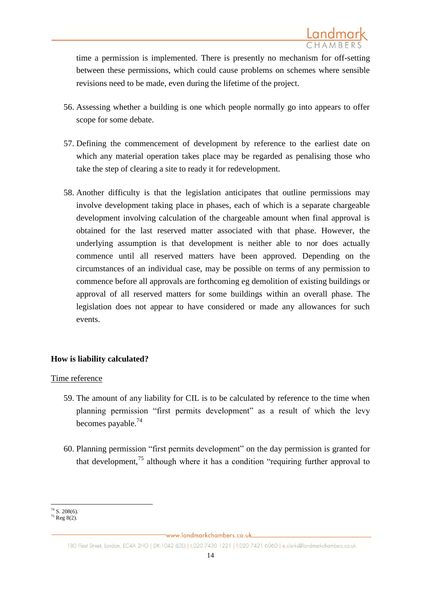time a permission is implemented. There is presently no mechanism for off-setting between these permissions, which could cause problems on schemes where sensible revisions need to be made, even during the lifetime of the project.

- 56. Assessing whether a building is one which people normally go into appears to offer scope for some debate.
- 57. Defining the commencement of development by reference to the earliest date on which any material operation takes place may be regarded as penalising those who take the step of clearing a site to ready it for redevelopment.
- 58. Another difficulty is that the legislation anticipates that outline permissions may involve development taking place in phases, each of which is a separate chargeable development involving calculation of the chargeable amount when final approval is obtained for the last reserved matter associated with that phase. However, the underlying assumption is that development is neither able to nor does actually commence until all reserved matters have been approved. Depending on the circumstances of an individual case, may be possible on terms of any permission to commence before all approvals are forthcoming eg demolition of existing buildings or approval of all reserved matters for some buildings within an overall phase. The legislation does not appear to have considered or made any allowances for such events.

# **How is liability calculated?**

# Time reference

- 59. The amount of any liability for CIL is to be calculated by reference to the time when planning permission "first permits development" as a result of which the levy becomes payable.<sup>74</sup>
- 60. Planning permission "first permits development" on the day permission is granted for that development,<sup>75</sup> although where it has a condition "requiring further approval to

 $\overline{a}$  $74$  S. 208(6).

 $75$  Reg  $8(2)$ .

<sup>180</sup> Fleet Street, London, EC4A 2HG | DX:1042 (LDE) | t.020 7430 1221 | f.020 7421 6060 | e.clerks@landmarkchambers.co.uk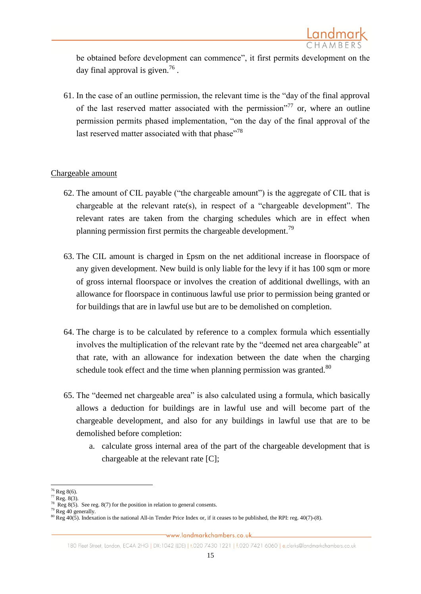

be obtained before development can commence", it first permits development on the day final approval is given.<sup>76</sup>.

61. In the case of an outline permission, the relevant time is the "day of the final approval of the last reserved matter associated with the permission<sup> $277$ </sup> or, where an outline permission permits phased implementation, "on the day of the final approval of the last reserved matter associated with that phase"<sup>78</sup>

### Chargeable amount

- 62. The amount of CIL payable ("the chargeable amount") is the aggregate of CIL that is chargeable at the relevant rate(s), in respect of a "chargeable development". The relevant rates are taken from the charging schedules which are in effect when planning permission first permits the chargeable development.<sup>79</sup>
- 63. The CIL amount is charged in £psm on the net additional increase in floorspace of any given development. New build is only liable for the levy if it has 100 sqm or more of gross internal floorspace or involves the creation of additional dwellings, with an allowance for floorspace in continuous lawful use prior to permission being granted or for buildings that are in lawful use but are to be demolished on completion.
- 64. The charge is to be calculated by reference to a complex formula which essentially involves the multiplication of the relevant rate by the "deemed net area chargeable" at that rate, with an allowance for indexation between the date when the charging schedule took effect and the time when planning permission was granted.<sup>80</sup>
- 65. The "deemed net chargeable area" is also calculated using a formula, which basically allows a deduction for buildings are in lawful use and will become part of the chargeable development, and also for any buildings in lawful use that are to be demolished before completion:
	- a. calculate gross internal area of the part of the chargeable development that is chargeable at the relevant rate [C];

**<sup>.</sup>**  $76$  Reg 8(6).

<sup>&</sup>lt;sup>77</sup> Reg. 8(3).<br><sup>78</sup> Reg 8(5). See reg. 8(7) for the position in relation to general consents.

 $79$  Reg 40 generally.

 $80$  Reg 40(5). Indexation is the national All-in Tender Price Index or, if it ceases to be published, the RPI: reg. 40(7)-(8).

<sup>180</sup> Fleet Street, London, EC4A 2HG | DX:1042 (LDE) | t.020 7430 1221 | f.020 7421 6060 | e.clerks@landmarkchambers.co.uk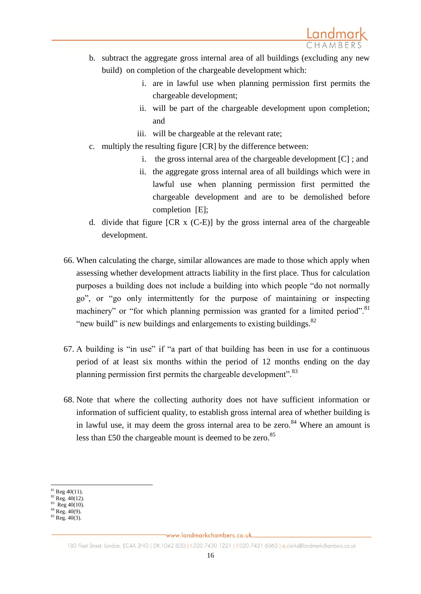- b. subtract the aggregate gross internal area of all buildings (excluding any new build) on completion of the chargeable development which:
	- i. are in lawful use when planning permission first permits the chargeable development;
	- ii. will be part of the chargeable development upon completion; and
	- iii. will be chargeable at the relevant rate;
- c. multiply the resulting figure [CR] by the difference between:
	- i. the gross internal area of the chargeable development [C] ; and
	- ii. the aggregate gross internal area of all buildings which were in lawful use when planning permission first permitted the chargeable development and are to be demolished before completion [E];
- d. divide that figure [CR x (C-E)] by the gross internal area of the chargeable development.
- 66. When calculating the charge, similar allowances are made to those which apply when assessing whether development attracts liability in the first place. Thus for calculation purposes a building does not include a building into which people "do not normally go", or "go only intermittently for the purpose of maintaining or inspecting machinery" or "for which planning permission was granted for a limited period".<sup>81</sup> "new build" is new buildings and enlargements to existing buildings. $82$
- 67. A building is "in use" if "a part of that building has been in use for a continuous period of at least six months within the period of 12 months ending on the day planning permission first permits the chargeable development".<sup>83</sup>
- 68. Note that where the collecting authority does not have sufficient information or information of sufficient quality, to establish gross internal area of whether building is in lawful use, it may deem the gross internal area to be zero.<sup>84</sup> Where an amount is less than £50 the chargeable mount is deemed to be zero. $85$

**<sup>.</sup>**  $81$  Reg 40(11).

 $82$  Reg. 40(12).<br>  $83$  Reg 40(10).

 $84$  Reg.  $40(9)$ .

 $85$  Reg.  $40(3)$ .

<sup>180</sup> Fleet Street, London, EC4A 2HG | DX:1042 (LDE) | t.020 7430 1221 | f.020 7421 6060 | e.clerks@landmarkchambers.co.uk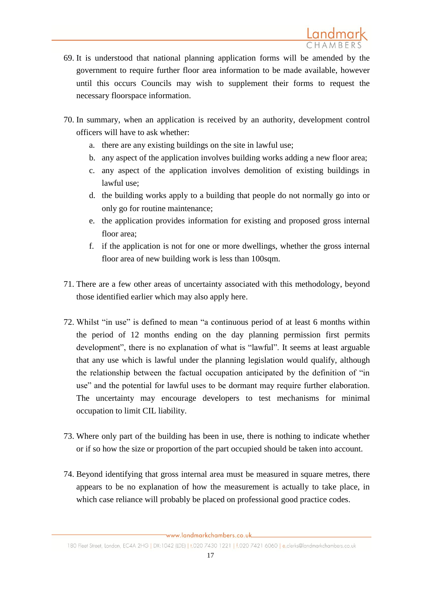- 69. It is understood that national planning application forms will be amended by the government to require further floor area information to be made available, however until this occurs Councils may wish to supplement their forms to request the necessary floorspace information.
- 70. In summary, when an application is received by an authority, development control officers will have to ask whether:
	- a. there are any existing buildings on the site in lawful use;
	- b. any aspect of the application involves building works adding a new floor area;
	- c. any aspect of the application involves demolition of existing buildings in lawful use;
	- d. the building works apply to a building that people do not normally go into or only go for routine maintenance;
	- e. the application provides information for existing and proposed gross internal floor area;
	- f. if the application is not for one or more dwellings, whether the gross internal floor area of new building work is less than 100sqm.
- 71. There are a few other areas of uncertainty associated with this methodology, beyond those identified earlier which may also apply here.
- 72. Whilst "in use" is defined to mean "a continuous period of at least 6 months within the period of 12 months ending on the day planning permission first permits development", there is no explanation of what is "lawful". It seems at least arguable that any use which is lawful under the planning legislation would qualify, although the relationship between the factual occupation anticipated by the definition of "in use" and the potential for lawful uses to be dormant may require further elaboration. The uncertainty may encourage developers to test mechanisms for minimal occupation to limit CIL liability.
- 73. Where only part of the building has been in use, there is nothing to indicate whether or if so how the size or proportion of the part occupied should be taken into account.
- 74. Beyond identifying that gross internal area must be measured in square metres, there appears to be no explanation of how the measurement is actually to take place, in which case reliance will probably be placed on professional good practice codes.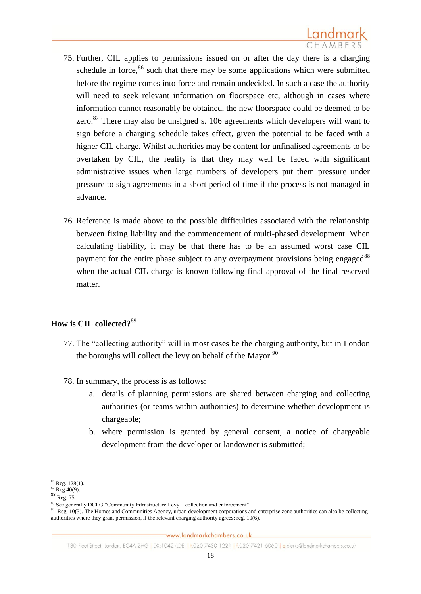- 75. Further, CIL applies to permissions issued on or after the day there is a charging schedule in force, $86$  such that there may be some applications which were submitted before the regime comes into force and remain undecided. In such a case the authority will need to seek relevant information on floorspace etc, although in cases where information cannot reasonably be obtained, the new floorspace could be deemed to be zero. $87$  There may also be unsigned s. 106 agreements which developers will want to sign before a charging schedule takes effect, given the potential to be faced with a higher CIL charge. Whilst authorities may be content for unfinalised agreements to be overtaken by CIL, the reality is that they may well be faced with significant administrative issues when large numbers of developers put them pressure under pressure to sign agreements in a short period of time if the process is not managed in advance.
- 76. Reference is made above to the possible difficulties associated with the relationship between fixing liability and the commencement of multi-phased development. When calculating liability, it may be that there has to be an assumed worst case CIL payment for the entire phase subject to any overpayment provisions being engaged<sup>88</sup> when the actual CIL charge is known following final approval of the final reserved matter.

# **How is CIL collected?**<sup>89</sup>

- 77. The "collecting authority" will in most cases be the charging authority, but in London the boroughs will collect the levy on behalf of the Mayor. $90$
- 78. In summary, the process is as follows:
	- a. details of planning permissions are shared between charging and collecting authorities (or teams within authorities) to determine whether development is chargeable;
	- b. where permission is granted by general consent, a notice of chargeable development from the developer or landowner is submitted;

<sup>1</sup> <sup>86</sup> Reg. 128(1).

 $87$  Reg 40(9).

 $88 \text{ Reg. } 75.$ 

<sup>&</sup>lt;sup>89</sup> See generally DCLG "Community Infrastructure Levy – collection and enforcement".

 $90\text{ Reg. }10(3)$ . The Homes and Communities Agency, urban development corporations and enterprise zone authorities can also be collecting authorities where they grant permission, if the relevant charging authority agrees: reg. 10(6).

<sup>180</sup> Fleet Street, London, EC4A 2HG | DX:1042 (LDE) | t.020 7430 1221 | f.020 7421 6060 | e.clerks@landmarkchambers.co.uk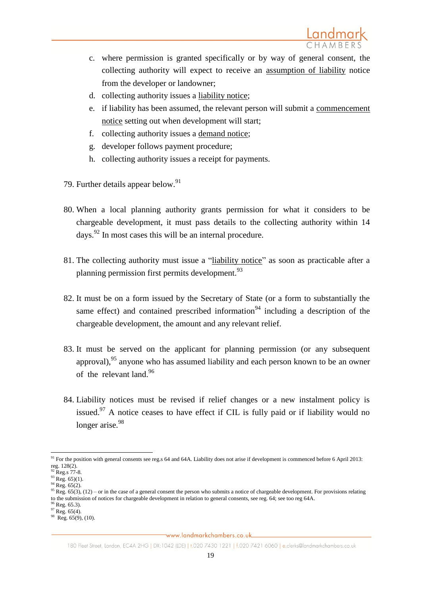

- c. where permission is granted specifically or by way of general consent, the collecting authority will expect to receive an assumption of liability notice from the developer or landowner;
- d. collecting authority issues a liability notice;
- e. if liability has been assumed, the relevant person will submit a commencement notice setting out when development will start;
- f. collecting authority issues a demand notice;
- g. developer follows payment procedure;
- h. collecting authority issues a receipt for payments.
- 79. Further details appear below.<sup>91</sup>
- 80. When a local planning authority grants permission for what it considers to be chargeable development, it must pass details to the collecting authority within 14 days.<sup>92</sup> In most cases this will be an internal procedure.
- 81. The collecting authority must issue a "liability notice" as soon as practicable after a planning permission first permits development.<sup>93</sup>
- 82. It must be on a form issued by the Secretary of State (or a form to substantially the same effect) and contained prescribed information<sup>94</sup> including a description of the chargeable development, the amount and any relevant relief.
- 83. It must be served on the applicant for planning permission (or any subsequent approval),<sup>95</sup> anyone who has assumed liability and each person known to be an owner of the relevant land.<sup>96</sup>
- 84. Liability notices must be revised if relief changes or a new instalment policy is issued. $97$  A notice ceases to have effect if CIL is fully paid or if liability would no longer arise.<sup>98</sup>

1

<sup>&</sup>lt;sup>91</sup> For the position with general consents see reg.s 64 and 64A. Liability does not arise if development is commenced before 6 April 2013: reg. 128(2).

 $^{2}$  Reg.s 77-8.

 $93$  Reg. 65)(1).

 $94$  Reg. 65(2).

<sup>&</sup>lt;sup>95</sup> Reg. 65(3), (12) – or in the case of a general consent the person who submits a notice of chargeable development. For provisions relating to the submission of notices for chargeable development in relation to general consents, see reg. 64; see too reg 64A.

 $6$  Reg. 65.3).

 $97$  Reg. 65(4). 98 Reg. 65(9), (10).

<sup>180</sup> Fleet Street, London, EC4A 2HG | DX:1042 (LDE) | t.020 7430 1221 | f.020 7421 6060 | e.clerks@landmarkchambers.co.uk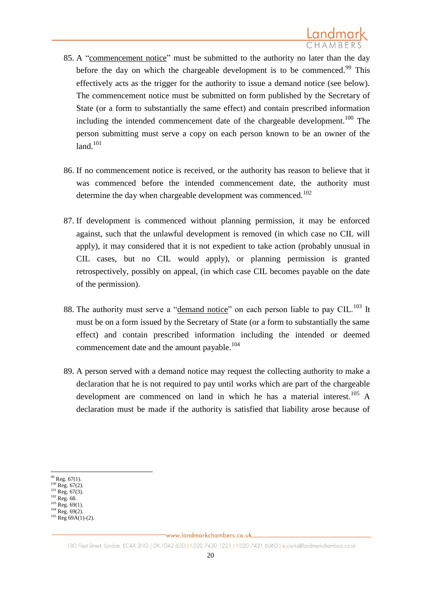- 85. A "commencement notice" must be submitted to the authority no later than the day before the day on which the chargeable development is to be commenced.<sup>99</sup> This effectively acts as the trigger for the authority to issue a demand notice (see below). The commencement notice must be submitted on form published by the Secretary of State (or a form to substantially the same effect) and contain prescribed information including the intended commencement date of the chargeable development.<sup>100</sup> The person submitting must serve a copy on each person known to be an owner of the  $land.<sup>101</sup>$
- 86. If no commencement notice is received, or the authority has reason to believe that it was commenced before the intended commencement date, the authority must determine the day when chargeable development was commenced.<sup>102</sup>
- 87. If development is commenced without planning permission, it may be enforced against, such that the unlawful development is removed (in which case no CIL will apply), it may considered that it is not expedient to take action (probably unusual in CIL cases, but no CIL would apply), or planning permission is granted retrospectively, possibly on appeal, (in which case CIL becomes payable on the date of the permission).
- 88. The authority must serve a "demand notice" on each person liable to pay CIL.<sup>103</sup> It must be on a form issued by the Secretary of State (or a form to substantially the same effect) and contain prescribed information including the intended or deemed commencement date and the amount payable.<sup>104</sup>
- 89. A person served with a demand notice may request the collecting authority to make a declaration that he is not required to pay until works which are part of the chargeable development are commenced on land in which he has a material interest.<sup>105</sup> A declaration must be made if the authority is satisfied that liability arose because of

**.** 

 $99$  Reg. 67(1).

 $100$  Reg. 67(2).

 $101$  Reg. 67(3).  $102$  Reg. 68.

 $^{103}$  Reg. 69(1).

 $104$  Reg. 69(2).

 $^{105}$  Reg 69A(1)-(2).

<sup>180</sup> Fleet Street, London, EC4A 2HG | DX:1042 (LDE) | t.020 7430 1221 | f.020 7421 6060 | e.clerks@landmarkchambers.co.uk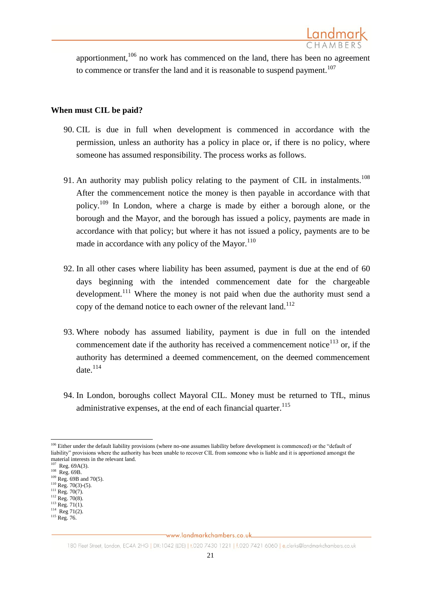apportionment, $106$  no work has commenced on the land, there has been no agreement to commence or transfer the land and it is reasonable to suspend payment.<sup>107</sup>

## **When must CIL be paid?**

- 90. CIL is due in full when development is commenced in accordance with the permission, unless an authority has a policy in place or, if there is no policy, where someone has assumed responsibility. The process works as follows.
- 91. An authority may publish policy relating to the payment of CIL in instalments.<sup>108</sup> After the commencement notice the money is then payable in accordance with that policy.<sup>109</sup> In London, where a charge is made by either a borough alone, or the borough and the Mayor, and the borough has issued a policy, payments are made in accordance with that policy; but where it has not issued a policy, payments are to be made in accordance with any policy of the Mayor. $110$
- 92. In all other cases where liability has been assumed, payment is due at the end of 60 days beginning with the intended commencement date for the chargeable development.<sup>111</sup> Where the money is not paid when due the authority must send a copy of the demand notice to each owner of the relevant land. $112$
- 93. Where nobody has assumed liability, payment is due in full on the intended commencement date if the authority has received a commencement notice $113$  or, if the authority has determined a deemed commencement, on the deemed commencement date $^{114}$
- 94. In London, boroughs collect Mayoral CIL. Money must be returned to TfL, minus administrative expenses, at the end of each financial quarter.<sup>115</sup>

**<sup>.</sup>** <sup>106</sup> Either under the default liability provisions (where no-one assumes liability before development is commenced) or the "default of liability" provisions where the authority has been unable to recover CIL from someone who is liable and it is apportioned amongst the material interests in the relevant land.

 $107$  Reg. 69A(3).

<sup>108</sup> Reg. 69B.

 $109$  Reg. 69B and 70(5).

 $^{110}$  Reg. 70(3)-(5).  $^{111}$  Reg. 70(7).

<sup>112</sup> Reg. 70(8).

 $^{113}$  Reg. 71(1).

 $114$  Reg 71(2).

<sup>&</sup>lt;sup>115</sup> Reg. 76.

<sup>180</sup> Fleet Street, London, EC4A 2HG | DX:1042 (LDE) | t.020 7430 1221 | f.020 7421 6060 | e.clerks@landmarkchambers.co.uk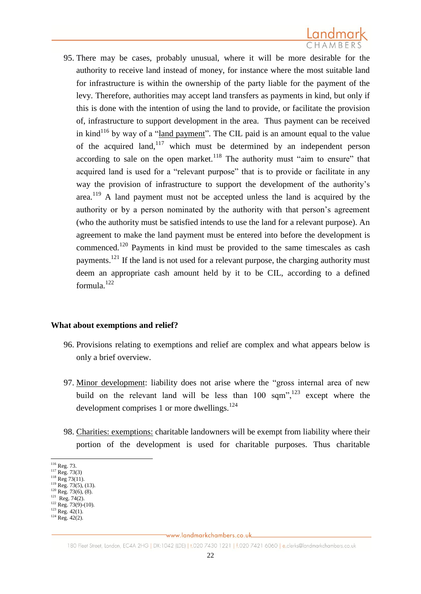

95. There may be cases, probably unusual, where it will be more desirable for the authority to receive land instead of money, for instance where the most suitable land for infrastructure is within the ownership of the party liable for the payment of the levy. Therefore, authorities may accept land transfers as payments in kind, but only if this is done with the intention of using the land to provide, or facilitate the provision of, infrastructure to support development in the area. Thus payment can be received in kind<sup>116</sup> by way of a "land payment". The CIL paid is an amount equal to the value of the acquired land,  $117$  which must be determined by an independent person according to sale on the open market. $118$  The authority must "aim to ensure" that acquired land is used for a "relevant purpose" that is to provide or facilitate in any way the provision of infrastructure to support the development of the authority's area.<sup>119</sup> A land payment must not be accepted unless the land is acquired by the authority or by a person nominated by the authority with that person's agreement (who the authority must be satisfied intends to use the land for a relevant purpose). An agreement to make the land payment must be entered into before the development is commenced.<sup>120</sup> Payments in kind must be provided to the same timescales as cash payments.<sup>121</sup> If the land is not used for a relevant purpose, the charging authority must deem an appropriate cash amount held by it to be CIL, according to a defined formula.<sup>122</sup>

#### **What about exemptions and relief?**

- 96. Provisions relating to exemptions and relief are complex and what appears below is only a brief overview.
- 97. Minor development: liability does not arise where the "gross internal area of new build on the relevant land will be less than 100 sqm<sup>", 123</sup> except where the development comprises 1 or more dwellings.<sup>124</sup>
- 98. Charities: exemptions: charitable landowners will be exempt from liability where their portion of the development is used for charitable purposes. Thus charitable

- $^{122}$  Reg. 73(9)-(10).
- $^{123}$  Reg. 42(1).  $124$  Reg.  $42(2)$ .

 $\overline{a}$  $116$  Reg. 73.

 $^{117}$  Reg. 73(3)

 $118$  Reg 73(11).  $\frac{119}{119}$  Reg. 73(5), (13).

 $^{120}$  Reg. 73(6), (8).

<sup>&</sup>lt;sup>121</sup> Reg. 74(2).

www.landmarkchambers.co.uk

<sup>180</sup> Fleet Street, London, EC4A 2HG | DX:1042 (LDE) | t.020 7430 1221 | f.020 7421 6060 | e.clerks@landmarkchambers.co.uk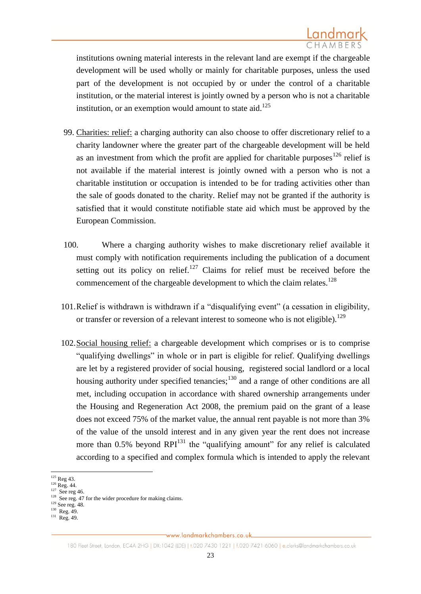institutions owning material interests in the relevant land are exempt if the chargeable development will be used wholly or mainly for charitable purposes, unless the used part of the development is not occupied by or under the control of a charitable institution, or the material interest is jointly owned by a person who is not a charitable institution, or an exemption would amount to state aid.<sup>125</sup>

- 99. Charities: relief: a charging authority can also choose to offer discretionary relief to a charity landowner where the greater part of the chargeable development will be held as an investment from which the profit are applied for charitable purposes<sup>126</sup> relief is not available if the material interest is jointly owned with a person who is not a charitable institution or occupation is intended to be for trading activities other than the sale of goods donated to the charity. Relief may not be granted if the authority is satisfied that it would constitute notifiable state aid which must be approved by the European Commission.
- 100. Where a charging authority wishes to make discretionary relief available it must comply with notification requirements including the publication of a document setting out its policy on relief.<sup>127</sup> Claims for relief must be received before the commencement of the chargeable development to which the claim relates.<sup>128</sup>
- 101.Relief is withdrawn is withdrawn if a "disqualifying event" (a cessation in eligibility, or transfer or reversion of a relevant interest to someone who is not eligible).<sup>129</sup>
- 102.Social housing relief: a chargeable development which comprises or is to comprise "qualifying dwellings" in whole or in part is eligible for relief. Qualifying dwellings are let by a registered provider of social housing, registered social landlord or a local housing authority under specified tenancies;<sup>130</sup> and a range of other conditions are all met, including occupation in accordance with shared ownership arrangements under the Housing and Regeneration Act 2008, the premium paid on the grant of a lease does not exceed 75% of the market value, the annual rent payable is not more than 3% of the value of the unsold interest and in any given year the rent does not increase more than  $0.5\%$  beyond RPI<sup>131</sup> the "qualifying amount" for any relief is calculated according to a specified and complex formula which is intended to apply the relevant

**<sup>.</sup>** <sup>125</sup> Reg 43.

 $126$  Reg. 44.

<sup>&</sup>lt;sup>127</sup> See reg 46.

<sup>&</sup>lt;sup>128</sup> See reg. 47 for the wider procedure for making claims.

<sup>129</sup> See reg. 48.

 $130$  Reg. 49.

<sup>131</sup> Reg. 49.

<sup>180</sup> Fleet Street, London, EC4A 2HG | DX:1042 (LDE) | t.020 7430 1221 | f.020 7421 6060 | e.clerks@landmarkchambers.co.uk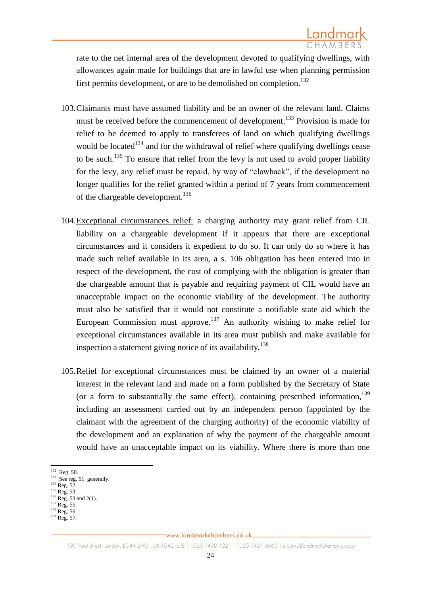rate to the net internal area of the development devoted to qualifying dwellings, with allowances again made for buildings that are in lawful use when planning permission first permits development, or are to be demolished on completion.<sup>132</sup>

- 103.Claimants must have assumed liability and be an owner of the relevant land. Claims must be received before the commencement of development.<sup>133</sup> Provision is made for relief to be deemed to apply to transferees of land on which qualifying dwellings would be located<sup>134</sup> and for the withdrawal of relief where qualifying dwellings cease to be such.<sup>135</sup> To ensure that relief from the levy is not used to avoid proper liability for the levy, any relief must be repaid, by way of "clawback", if the development no longer qualifies for the relief granted within a period of 7 years from commencement of the chargeable development.<sup>136</sup>
- 104.Exceptional circumstances relief: a charging authority may grant relief from CIL liability on a chargeable development if it appears that there are exceptional circumstances and it considers it expedient to do so. It can only do so where it has made such relief available in its area, a s. 106 obligation has been entered into in respect of the development, the cost of complying with the obligation is greater than the chargeable amount that is payable and requiring payment of CIL would have an unacceptable impact on the economic viability of the development. The authority must also be satisfied that it would not constitute a notifiable state aid which the European Commission must approve.<sup>137</sup> An authority wishing to make relief for exceptional circumstances available in its area must publish and make available for inspection a statement giving notice of its availability.<sup>138</sup>
- 105.Relief for exceptional circumstances must be claimed by an owner of a material interest in the relevant land and made on a form published by the Secretary of State (or a form to substantially the same effect), containing prescribed information,  $139$ including an assessment carried out by an independent person (appointed by the claimant with the agreement of the charging authority) of the economic viability of the development and an explanation of why the payment of the chargeable amount would have an unacceptable impact on its viability. Where there is more than one

 $\frac{132}{132}$  Reg. 50.<br> $\frac{133}{2}$  See reg. 51 generally.

 $134$  Reg. 52.

 $^{135}$  Reg. 53.

 $^{136}$  Reg. 53 and 2(1).

<sup>&</sup>lt;sup>137</sup> Reg. 55. <sup>138</sup> Reg. 56.

 $139$  Reg. 57.

<sup>180</sup> Fleet Street, London, EC4A 2HG | DX:1042 (LDE) | t.020 7430 1221 | f.020 7421 6060 | e.clerks@landmarkchambers.co.uk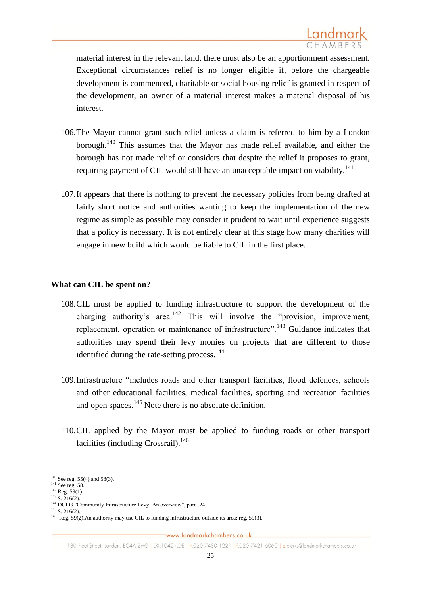material interest in the relevant land, there must also be an apportionment assessment. Exceptional circumstances relief is no longer eligible if, before the chargeable development is commenced, charitable or social housing relief is granted in respect of the development, an owner of a material interest makes a material disposal of his interest.

- 106.The Mayor cannot grant such relief unless a claim is referred to him by a London borough.<sup>140</sup> This assumes that the Mayor has made relief available, and either the borough has not made relief or considers that despite the relief it proposes to grant, requiring payment of CIL would still have an unacceptable impact on viability.<sup>141</sup>
- 107.It appears that there is nothing to prevent the necessary policies from being drafted at fairly short notice and authorities wanting to keep the implementation of the new regime as simple as possible may consider it prudent to wait until experience suggests that a policy is necessary. It is not entirely clear at this stage how many charities will engage in new build which would be liable to CIL in the first place.

### **What can CIL be spent on?**

- 108.CIL must be applied to funding infrastructure to support the development of the charging authority's area.<sup>142</sup> This will involve the "provision, improvement, replacement, operation or maintenance of infrastructure".<sup>143</sup> Guidance indicates that authorities may spend their levy monies on projects that are different to those identified during the rate-setting process. $144$
- 109.Infrastructure "includes roads and other transport facilities, flood defences, schools and other educational facilities, medical facilities, sporting and recreation facilities and open spaces.<sup>145</sup> Note there is no absolute definition.
- 110.CIL applied by the Mayor must be applied to funding roads or other transport facilities (including Crossrail).<sup>146</sup>

**.** 

 $140$  See reg. 55(4) and 58(3).

 $^{141}$  See reg. 58.

 $^{142}$  Reg. 59(1).  $143$  S. 216(2).

<sup>&</sup>lt;sup>144</sup> DCLG "Community Infrastructure Levy: An overview", para. 24.

 $145$  S. 216(2). <sup>146</sup> Reg. 59(2). An authority may use CIL to funding infrastructure outside its area: reg. 59(3).

<sup>180</sup> Fleet Street, London, EC4A 2HG | DX:1042 (LDE) | t.020 7430 1221 | f.020 7421 6060 | e.clerks@landmarkchambers.co.uk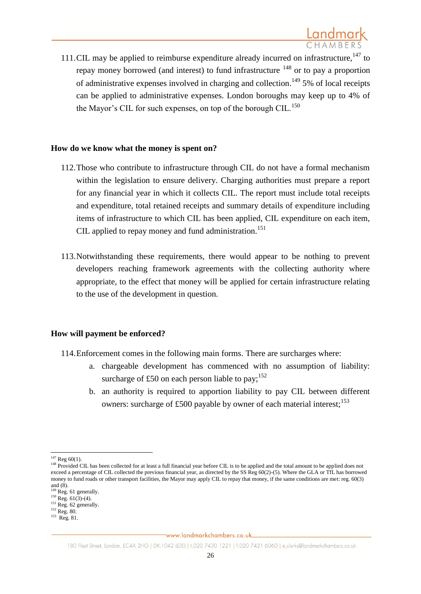111.CIL may be applied to reimburse expenditure already incurred on infrastructure, $147$  to repay money borrowed (and interest) to fund infrastructure  $148$  or to pay a proportion of administrative expenses involved in charging and collection.<sup>149</sup> 5% of local receipts can be applied to administrative expenses. London boroughs may keep up to 4% of the Mayor's CIL for such expenses, on top of the borough CIL.<sup>150</sup>

### **How do we know what the money is spent on?**

- 112.Those who contribute to infrastructure through CIL do not have a formal mechanism within the legislation to ensure delivery. Charging authorities must prepare a report for any financial year in which it collects CIL. The report must include total receipts and expenditure, total retained receipts and summary details of expenditure including items of infrastructure to which CIL has been applied, CIL expenditure on each item, CIL applied to repay money and fund administration.<sup>151</sup>
- 113.Notwithstanding these requirements, there would appear to be nothing to prevent developers reaching framework agreements with the collecting authority where appropriate, to the effect that money will be applied for certain infrastructure relating to the use of the development in question.

# **How will payment be enforced?**

- 114.Enforcement comes in the following main forms. There are surcharges where:
	- a. chargeable development has commenced with no assumption of liability: surcharge of £50 on each person liable to pay;<sup>152</sup>
	- b. an authority is required to apportion liability to pay CIL between different owners: surcharge of £500 payable by owner of each material interest;<sup>153</sup>

<sup>1</sup>  $147$  Reg 60(1).

<sup>&</sup>lt;sup>148</sup> Provided CIL has been collected for at least a full financial year before CIL is to be applied and the total amount to be applied does not exceed a percentage of CIL collected the previous financial year, as directed by the SS Reg 60(2)-(5). Where the GLA or TfL has borrowed money to fund roads or other transport facilities, the Mayor may apply CIL to repay that money, if the same conditions are met: reg. 60(3) and  $(8)$ .

<sup>&</sup>lt;sup>149</sup> Reg. 61 generally.

 $^{150}$  Reg. 61(3)-(4).

 $151$  Reg. 62 generally.

<sup>&</sup>lt;sup>152</sup> Reg. 80.

<sup>153</sup> Reg. 81.

<sup>180</sup> Fleet Street, London, EC4A 2HG | DX:1042 (LDE) | t.020 7430 1221 | f.020 7421 6060 | e.clerks@landmarkchambers.co.uk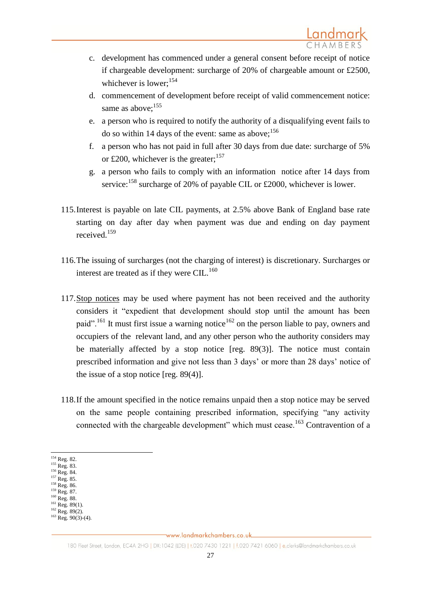- c. development has commenced under a general consent before receipt of notice if chargeable development: surcharge of 20% of chargeable amount or £2500, whichever is lower:<sup>154</sup>
- d. commencement of development before receipt of valid commencement notice: same as above: $155$
- e. a person who is required to notify the authority of a disqualifying event fails to do so within 14 days of the event: same as above:<sup>156</sup>
- f. a person who has not paid in full after 30 days from due date: surcharge of 5% or £200, whichever is the greater;<sup>157</sup>
- g. a person who fails to comply with an information notice after 14 days from service:<sup>158</sup> surcharge of 20% of payable CIL or £2000, whichever is lower.
- 115.Interest is payable on late CIL payments, at 2.5% above Bank of England base rate starting on day after day when payment was due and ending on day payment received.<sup>159</sup>
- 116.The issuing of surcharges (not the charging of interest) is discretionary. Surcharges or interest are treated as if they were CIL. $^{160}$
- 117.Stop notices may be used where payment has not been received and the authority considers it "expedient that development should stop until the amount has been paid".<sup>161</sup> It must first issue a warning notice<sup>162</sup> on the person liable to pay, owners and occupiers of the relevant land, and any other person who the authority considers may be materially affected by a stop notice [reg. 89(3)]. The notice must contain prescribed information and give not less than 3 days' or more than 28 days' notice of the issue of a stop notice [reg. 89(4)].
- 118.If the amount specified in the notice remains unpaid then a stop notice may be served on the same people containing prescribed information, specifying "any activity connected with the chargeable development" which must cease.<sup>163</sup> Contravention of a

<sup>1</sup> <sup>154</sup> Reg. 82.

<sup>&</sup>lt;sup>155</sup> Reg. 83.

<sup>156</sup> Reg. 84. <sup>157</sup> Reg. 85.

<sup>158</sup> Reg. 86.

<sup>&</sup>lt;sup>159</sup> Reg. 87.

<sup>160</sup> Reg. 88.  $^{161}$  Reg. 89(1).

 $162$  Reg. 89(2).

 $^{163}$  Reg. 90(3)-(4).

<sup>180</sup> Fleet Street, London, EC4A 2HG | DX:1042 (LDE) | t.020 7430 1221 | f.020 7421 6060 | e.clerks@landmarkchambers.co.uk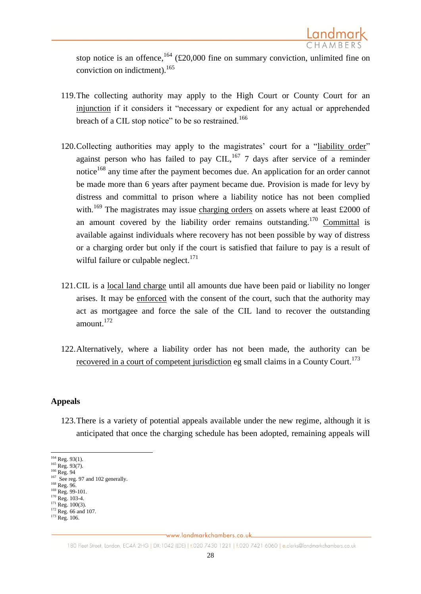

stop notice is an offence,  $164$  (£20,000 fine on summary conviction, unlimited fine on conviction on indictment). 165

- 119.The collecting authority may apply to the High Court or County Court for an injunction if it considers it "necessary or expedient for any actual or apprehended breach of a CIL stop notice" to be so restrained.<sup>166</sup>
- 120. Collecting authorities may apply to the magistrates' court for a "liability order" against person who has failed to pay CIL,<sup>167</sup> 7 days after service of a reminder notice<sup>168</sup> any time after the payment becomes due. An application for an order cannot be made more than 6 years after payment became due. Provision is made for levy by distress and committal to prison where a liability notice has not been complied with.<sup>169</sup> The magistrates may issue charging orders on assets where at least £2000 of an amount covered by the liability order remains outstanding.<sup>170</sup> Committal is available against individuals where recovery has not been possible by way of distress or a charging order but only if the court is satisfied that failure to pay is a result of wilful failure or culpable neglect. $171$
- 121.CIL is a local land charge until all amounts due have been paid or liability no longer arises. It may be enforced with the consent of the court, such that the authority may act as mortgagee and force the sale of the CIL land to recover the outstanding amount. $172$
- 122.Alternatively, where a liability order has not been made, the authority can be recovered in a court of competent jurisdiction eg small claims in a County Court.<sup>173</sup>

#### **Appeals**

123.There is a variety of potential appeals available under the new regime, although it is anticipated that once the charging schedule has been adopted, remaining appeals will

<sup>1</sup>  $164$  Reg. 93(1).

 $165$  Reg. 93(7).

<sup>&</sup>lt;sup>166</sup> Reg. 94 <sup>167</sup> See reg. 97 and 102 generally.

<sup>168</sup> Reg. 96.

<sup>&</sup>lt;sup>169</sup> Reg. 99-101.

<sup>&</sup>lt;sup>170</sup> Reg. 103-4.

 $171$  Reg. 100(3).

 $172$  Reg. 66 and 107. <sup>173</sup> Reg. 106.

<sup>180</sup> Fleet Street, London, EC4A 2HG | DX:1042 (LDE) | t.020 7430 1221 | f.020 7421 6060 | e.clerks@landmarkchambers.co.uk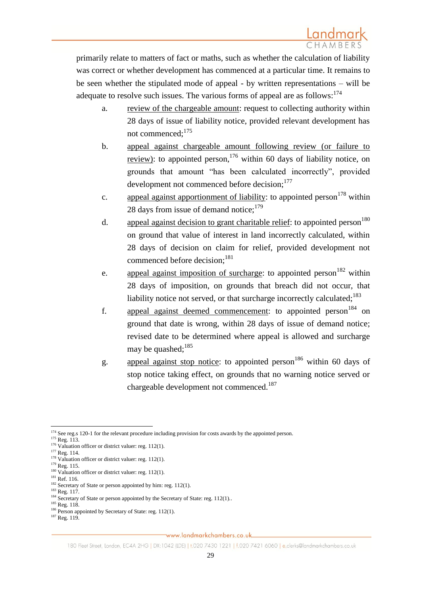primarily relate to matters of fact or maths, such as whether the calculation of liability was correct or whether development has commenced at a particular time. It remains to be seen whether the stipulated mode of appeal - by written representations – will be adequate to resolve such issues. The various forms of appeal are as follows:  $174$ 

- a. review of the chargeable amount: request to collecting authority within 28 days of issue of liability notice, provided relevant development has not commenced;<sup>175</sup>
- b. appeal against chargeable amount following review (or failure to review): to appointed person,<sup>176</sup> within 60 days of liability notice, on grounds that amount "has been calculated incorrectly", provided development not commenced before decision;<sup>177</sup>
- c. appeal against apportionment of liability: to appointed person<sup>178</sup> within 28 days from issue of demand notice: $179$
- d. appeal against decision to grant charitable relief: to appointed person<sup>180</sup> on ground that value of interest in land incorrectly calculated, within 28 days of decision on claim for relief, provided development not commenced before decision;<sup>181</sup>
- e. appeal against imposition of surcharge: to appointed person<sup>182</sup> within 28 days of imposition, on grounds that breach did not occur, that liability notice not served, or that surcharge incorrectly calculated;<sup>183</sup>
- f. appeal against deemed commencement: to appointed person<sup>184</sup> on ground that date is wrong, within 28 days of issue of demand notice; revised date to be determined where appeal is allowed and surcharge may be quashed; 185
- g. appeal against stop notice: to appointed person<sup>186</sup> within 60 days of stop notice taking effect, on grounds that no warning notice served or chargeable development not commenced.<sup>187</sup>

<sup>183</sup> Reg. 117. <sup>184</sup> Secretary of State or person appointed by the Secretary of State: reg. 112(1)..

**<sup>.</sup>** <sup>174</sup> See reg.s 120-1 for the relevant procedure including provision for costs awards by the appointed person.

 $175$  Reg. 113.

 $176$  Valuation officer or district valuer: reg. 112(1).

<sup>&</sup>lt;sup>177</sup> Reg. 114.

 $178$  Valuation officer or district valuer: reg. 112(1).

 $179$  Reg. 115.  $180$  Valuation officer or district valuer: reg. 112(1).

<sup>&</sup>lt;sup>181</sup> Ref. 116.

<sup>&</sup>lt;sup>182</sup> Secretary of State or person appointed by him: reg. 112(1).

<sup>&</sup>lt;sup>185</sup> Reg. 118.

 $186$  Person appointed by Secretary of State: reg. 112(1).

<sup>&</sup>lt;sup>187</sup> Reg. 119.

<sup>180</sup> Fleet Street, London, EC4A 2HG | DX:1042 (LDE) | t.020 7430 1221 | f.020 7421 6060 | e.clerks@landmarkchambers.co.uk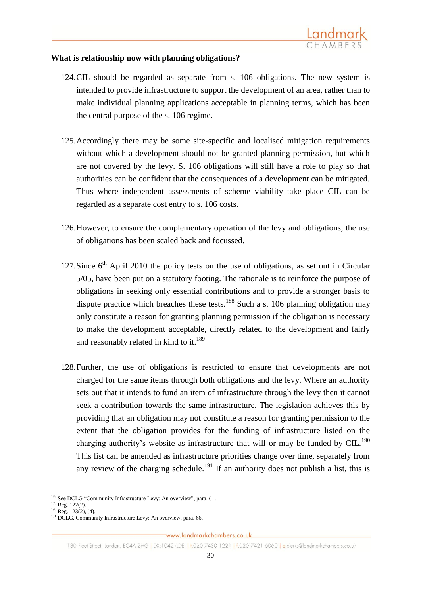

### **What is relationship now with planning obligations?**

- 124.CIL should be regarded as separate from s. 106 obligations. The new system is intended to provide infrastructure to support the development of an area, rather than to make individual planning applications acceptable in planning terms, which has been the central purpose of the s. 106 regime.
- 125.Accordingly there may be some site-specific and localised mitigation requirements without which a development should not be granted planning permission, but which are not covered by the levy. S. 106 obligations will still have a role to play so that authorities can be confident that the consequences of a development can be mitigated. Thus where independent assessments of scheme viability take place CIL can be regarded as a separate cost entry to s. 106 costs.
- 126.However, to ensure the complementary operation of the levy and obligations, the use of obligations has been scaled back and focussed.
- 127. Since  $6<sup>th</sup>$  April 2010 the policy tests on the use of obligations, as set out in Circular 5/05, have been put on a statutory footing. The rationale is to reinforce the purpose of obligations in seeking only essential contributions and to provide a stronger basis to dispute practice which breaches these tests.<sup>188</sup> Such a s. 106 planning obligation may only constitute a reason for granting planning permission if the obligation is necessary to make the development acceptable, directly related to the development and fairly and reasonably related in kind to it.<sup>189</sup>
- 128.Further, the use of obligations is restricted to ensure that developments are not charged for the same items through both obligations and the levy. Where an authority sets out that it intends to fund an item of infrastructure through the levy then it cannot seek a contribution towards the same infrastructure. The legislation achieves this by providing that an obligation may not constitute a reason for granting permission to the extent that the obligation provides for the funding of infrastructure listed on the charging authority's website as infrastructure that will or may be funded by  $CL<sup>190</sup>$ . This list can be amended as infrastructure priorities change over time, separately from any review of the charging schedule.<sup>191</sup> If an authority does not publish a list, this is

 $\overline{a}$ 188 See DCLG "Community Infrastructure Levy: An overview", para. 61.

 $189$  Reg. 122(2).

 $190$  Reg. 123(2), (4).

<sup>&</sup>lt;sup>191</sup> DCLG, Community Infrastructure Levy: An overview, para. 66.

<sup>180</sup> Fleet Street, London, EC4A 2HG | DX:1042 (LDE) | t.020 7430 1221 | f.020 7421 6060 | e.clerks@landmarkchambers.co.uk